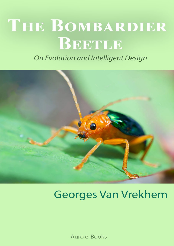# THE BOMBARDIER BETTLE

On Evolution and Intelligent Design



## **Georges Van Vrekhem**

Auro e-Books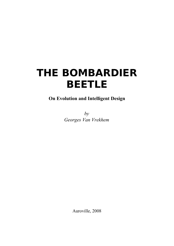## **THE BOMBARDIER BEETLE**

### **On Evolution and Intelligent Design**

*by Georges Van Vrekhem*

Auroville, 2008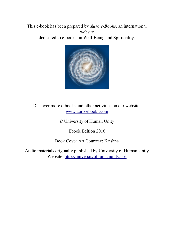#### This e-book has been prepared by *Auro e-Books*, an international website dedicated to e-books on Well-Being and Spirituality.



Discover more e-books and other activities on our website: [www.auro-ebooks.com](http://www.auro-ebooks.com/)

**©** University of Human Unity

Ebook Edition 2016

Book Cover Art Courtesy: Krishna

Audio materials originally published by University of Human Unity Website: [http://universityofhumanunity.org](http://universityofhumanunity.org/)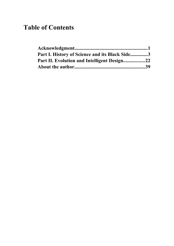## **Table of Contents**

| Part I. History of Science and its Black Side3 |  |
|------------------------------------------------|--|
|                                                |  |
|                                                |  |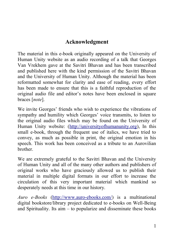## <span id="page-4-0"></span>**Acknowledgment**

The material in this e-book originally appeared on the University of Human Unity website as an audio recording of a talk that Georges Van Vrekhem gave at the Savitri Bhavan and has been transcribed and published here with the kind permission of the Savitri Bhavan and the University of Human Unity. Although the material has been reformatted somewhat for clarity and ease of reading, every effort has been made to ensure that this is a faithful reproduction of the original audio file and editor's notes have been enclosed in square braces [*note*].

We invite Georges' friends who wish to experience the vibrations of sympathy and humility which Georges' voice transmits, to listen to the original audio files which may be found on the University of Human Unity website: [\(http://universityofhumanunity.org\)](http://universityofhumanunity.org/), In this small e-book, through the frequent use of italics, we have tried to convey, as much as possible in print, the original emotion in his speech. This work has been conceived as a tribute to an Aurovilian brother.

We are extremely grateful to the Savitri Bhavan and the University of Human Unity and all of the many other authors and publishers of original works who have graciously allowed us to publish their material in multiple digital formats in our effort to increase the circulation of this very important material which mankind so desperately needs at this time in our history.

*Auro e-Books* [\(http://www.auro-ebooks.com/\)](http://www.auro-ebooks.com/) is a multinational digital bookstore/library project dedicated to e-books on Well-Being and Spirituality. Its aim – to popularize and disseminate these books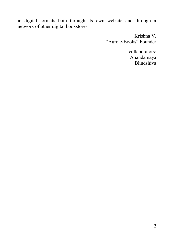in digital formats both through its own website and through a network of other digital bookstores.

> Krishna V. "Auro e-Books" Founder

> > collaborators: Anandamaya Blindshiva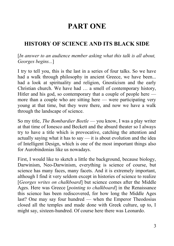## **PART ONE**

## <span id="page-6-0"></span>**HISTORY OF SCIENCE AND ITS BLACK SIDE**

[*In answer to an audience member asking what this talk is all about, Georges begins...*]

I try to tell you, this is the last in a series of four talks. So we have had a walk through philosophy in ancient Greece, we have been... had a look at spirituality and religion, Gnosticism and the early Christian church. We have had … a smell of contemporary history, Hitler and his god, so contemporary that a couple of people here more than a couple who are sitting here — were participating very young at that time, but they were there, and now we have a walk through the landscape of science.

So my title, *The Bombardier Beetle* — you know, I was a play writer at that time of Ionesco and Beckett and the absurd theater so I always try to have a title which is provocative, catching the attention and actually saying what it has to say — it is about evolution and the idea of Intelligent Design, which is one of the most important things also for Aurobindonias like us nowadays.

First, I would like to sketch a little the background, because biology, Darwinism, Neo-Darwinism, everything is science of course, but science has many faces, many facets. And it is extremely important, although I find it very seldom except in histories of science to realize [*Georges writes on chalkboard*] but science comes after the Middle Ages. Here was Greece [*pointing to chalkboard*] in the Renaissance this science has been rediscovered, for how long the Middle Ages last? One may say four hundred — when the Emperor Theodosius closed all the temples and made done with Greek culture, up to, I might say, sixteen-hundred. Of course here there was Leonardo.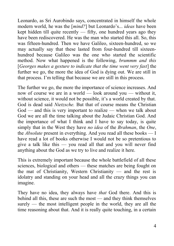Leonardo, as Sri Aurobindo says, concentrated in himself the whole modern world, he was the [*mind?*] but Leonardo's... *ideas* have been kept hidden till quite recently — fifty, one hundred years ago they have been rediscovered. He was the man who started this all. So, this was fifteen-hundred. Then we have Galileo, sixteen-hundred, so we may actually say that these lasted from four-hundred till sixteenhundred because Galileo was the one who started the scientific method. Now what happened is the following, *brummm and this* [*Georges makes a gesture to indicate that the time went very fast*] the further we go, the more the idea of God is dying out. We are still in that process. I'm telling that because we are still in this process.

The further we go, the more the importance of science increases. And now of course we are in a world — look around you — without it, without science, it would not be possible, it's a world created by that. God is dead said *Nietzsche.* But that of course means the Christian God — and this is very important to realize — when we talk about God we are all the time talking about the Judaic Christian God. And the importance of what I think and I have to say today, is quite simply that in the West they have *no idea* of the *Brahman*, the *One*, the *Absolute* present in everything. And you read all these books — I have read a lot of books otherwise I would not be so pretentious to give a talk like this — you read all that and you will never find anything about the God as we try to live and realize it here.

This is extremely important because the whole battlefield of all these sciences, biological and others — these matches are being fought on the mat of Christianity, Western Christianity — and the rest is idolatry and standing on your head and all the crazy things you can imagine.

They have no idea, they always have *that* God there. And this is behind all this, these are such the most — and they think themselves surely — the most intelligent people in the world, they are all the time reasoning about that. And it is really quite touching, in a certain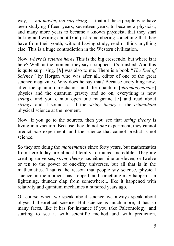way, — *not moving but surprising* — that all these people who have been studying fifteen years, seventeen years, to became a physicist, and many more years to became a known physicist, that they start talking and writing about God just remembering something that they have from their youth, without having study, read or think anything else. This is a huge contradiction in the Western civilization.

Now, *where is science here*? This is the big crescendo, but where is it here? Well, at the moment they say it stopped. It's finished. And this is quite surprising. [*It*] was also to me. There is a book "*The End of Science"* by Horgan who was after all, editor of one of the great science magazines. Why does he say that? Because everything now, after the quantum mechanics and the quantum [*chromodynamics*] physics and the quantum gravity and so on, everything is now *strings*, and you cannot open one magazine [*?*] and read about *strings*, and it sounds as if the *string theory* is the *triumphant* physical science at the moment.

Now, if you go to the sources, then you see that *string theory* is living in a vacuum. Because they do not *one* experiment, they cannot predict *one* experiment, and the science that cannot predict is not science.

So they are doing the *mathematics* since forty years, but mathematics from here today are almost literally formulas. Incredible! They are creating universes, *string theory* has either nine or eleven, or twelve or ten to the power of one-fifty universes, but all that is in the mathematics. That is the reason that people say science, physical science, at the moment has stopped, and something may happen ... a lightening, thunder clap from somewhere... like it happened with relativity and quantum mechanics a hundred years ago.

Of course when we speak about science we always speak about physical theoretical science. But science is much more, it has so many faces, like it has for instance if you take Paleontology, and starting to see it with scientific method and with prediction,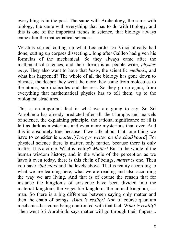everything is in the past. The same with Archeology, the same with biology, the same with everything that has to do with Biology, and this is one of the important trends in science, that biology always came after the mathematical sciences.

Vesalius started cutting up what Leonardo Da Vinci already had done, cutting up corpses dissecting... long after Galileo had given his formulas of the mechanical. So they always came after the mathematical sciences, and their dream is as people write, *physics envy*. They also want to have that *basis*, the scientific *methods*, and what has happened? The whole of all the biology has gone down to physics, the deeper they went the more they came from molecules to the atoms, sub molecules and the rest. So they go up again, from everything that mathematical physics has to tell them, up to the biological structures.

This is an important fact in what we are going to say. So Sri Aurobindo has already predicted after all, the triumphs and marvels of science, the explaining principle, the rational significance of all is left as dark as mysterious and even more mysterious than ever. And this is absolutely true because if we talk about that, one thing we have to consider is *matter*.[*Georges writes on the chalkboard*] For physical science there is matter, only matter, because there is only matter. It is a circle. What is reality? *Matter!* But in the whole of the human wisdom history, and in the whole of the perception as we have it even today, there is this chain of beings, *matter* is one. Then you have *vital mind* and the levels above. That is reality according to what we are learning here, what we are reading and also according the way we are living. And that is of course the reason that for instance the kingdoms of existence have been divided into the material kingdom, the vegetable kingdom, the animal kingdom, man. So there is a big difference between saying only matter and then the chain of beings. *What is reality*? And of course quantum mechanics has come being confronted with that fact: W*hat is reality*? Then went Sri Aurobindo says matter will go through their fingers...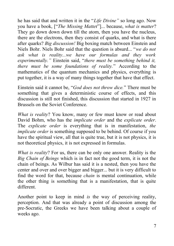he has said that and written it in the "*Life Divine"* so long ago. Now you have a book, ["*The Missing Matte*r"]... because, *what is matter*? They go down down down till the atom, then you have the nucleus, there are the electrons, then they consist of quarks, and what is there after quarks? *Big discussion!* Big boxing match between Einstein and Niels Bohr. Niels Bohr said that the question is absurd... "*we do not ask what is reality...we have our formulas and they work experimentally."* Einstein said, "*there must be something behind it, there must be some foundations of reality.*" According to the mathematics of the quantum mechanics and physics, everything is put together, it is a way of many things together that have that effect.

Einstein said it cannot be, "*God does not throw dice.*" There must be something that gives a deterministic course of effects, and this discussion is still not finished, this discussion that started in 1927 in Brussels on the Soviet Conference.

*What is reality*? You know, many or few must know or read about David Bohm, who has the *implicate order* and the *explicate order*. The *explicate order* is everything that is in manifestation, *the implicate order* is something supposed to be behind. Of course if you have the spiritual view, all that is quite true, but it is not physics, it is not theoretical physics, it is not expressed in formulas.

*What is reality*? For us, there can be only one answer. Reality is the *Big Chain of Beings* which is in fact not the good term, it is not the chain of beings. As Wilbur has said it is a nested, then you have the center and over and over bigger and bigger... but it is very difficult to find the word for that, because *chain* is mental continuation, while the other thing is something that is a manifestation, that is quite different.

Another point to keep in mind *is* the way of perceiving reality, perception. And that was already a point of discussion among the pre-Socratic, the Greeks we have been talking about a couple of weeks ago.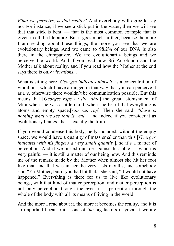*What we perceive, is that reality*? And everybody will agree to say no. For instance, if we see a stick put in the water, then we will see that that stick is bent, — that is the most common example that is given in all the literature. But it goes much further, because the more I am reading about these things, the more you see that we are evolutionary beings. And we came to 98.2% of our DNA is also there in the chimpanzee. We are evolutionarily beings and we perceive the world. And if you read how Sri Aurobindo and the Mother talk about reality, and if you read how the Mother at the end says there is only *vibrations...*

What is sitting here [*Georges indicates himself*] is a concentration of vibrations, which I have arranged in that way that you can perceive it as *me*, otherwise there wouldn't be communication possible. But this means that [*Georges raps on the table*] the great astonishment of Mira when she was a little child, when she heard that everything is atoms and empty space.[*rap rap rap*] Then she said: "*there is nothing what we see that is real,"* and indeed if you consider it as evolutionary beings, that is exactly the truth.

If you would condense this body, belly included, without the empty space, we would have a quantity of mass smaller than this [*Georges indicates with his fingers a very small quantity*], so it's a matter of perception. And if we hurled our toe against this table — which is very painful — it is still a matter of our being now. And this reminds me of the remark made by the Mother when almost she hit her foot like that, and that was in her the very lasts months, and somebody said "Ya Mother, but if you had hit that," she said, "it would not have happened." Everything is there for us to live like evolutionary beings, with that kind of matter perception, and matter perception is not only perception though the eyes, it is perception through the whole of the body with all its means of living in the world.

And the more I read about it, the more it becomes the reality, and it is so important because it is one of *the* big factors in yoga. If we are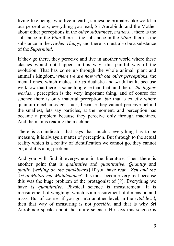living like beings who live in earth, simiesque primates-like world in our perceptions; everything you read, Sri Aurobindo and the Mother about other perceptions in the *other substances*, *matters*... there is the substance in the *Vital* there is the substance in the *Mind*, there is the substance in the *Higher Things*, and there is must also be a substance of the *Supermind*.

If they go there, they perceive and live in another world where these clashes would not happen in this way, this painful way of the evolution. That has come up through the whole animal, plant and animal's kingdom, *where we are now with our other perceptions,* the mental ones, which makes life *so* dualistic and *so* difficult, because we know that there is something else than that, and then... *the higher worlds*... perception is the very important thing, and of course for science there is only material perception, *but* that is exactly where quantum mechanics get stuck, because they cannot perceive behind the smallest, lets say particles, at the moment, and perception has became a problem because they perceive only through machines. And the man is reading the machine.

There is an indicator that says that much... everything has to be measure, it is always a matter of perception. But through to the actual reality which is a reality of identification we cannot go, they cannot go, and it is a big problem.

And you will find it everywhere in the literature. Then there is another point that is *qualitative* and *quantitative*. *Quantity* and *quality.*[*writing on the chalkboard*] If you have read "*Zen and the Art of Motorcycle Maintenance*" this must become very real because this was the huge problem of the protagonist of [*?*]. Everything we have is *quantitative*. Physical science is measurement. It is measurement of weighing, which is a measurement of dimension and mass. But of course, if you go into another level, in the *vital level*, then that way of measuring is not *possible*, and that is why Sri Aurobindo speaks about the future science. He says this science is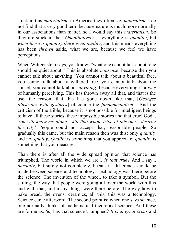stuck in this *materialism*, in America they often say *naturalism*. I do not find that a very good term because nature is much more normally in our associations than matter, so I would say this *materialism*. So they are stuck in that. *Quantitatively —* everything is *quantity*, but *when there is quantity there is no quality*, and this means everything has been *thrown* aside, what we are, because we feel we have perceptions.

When Wittgenstein says, you know, "what one cannot talk about, one should be quiet about." This is absolute *nonsense*, because then you cannot talk about anything! You cannot talk about a beautiful face, you cannot talk about a withered tree, you cannot talk about the sunset, you cannot talk about *anything*, because everything is a way of humanly perceiving. This has thrown away all that, and that is the use, the reason, that this has gone down like that, [*Georges illustrates with gestures*] of course the *fundamentalism*... And the criticism of the Bible, because it is not possible for intelligent beings to have all these stories, these impossible stories and that cruel God... *You will know me alone... kill that whole tribe of this one... destroy the city!* People could not accept that, reasonable people. So gradually this came, but the main reason then was this: only *quantity* and not *quality*. *Quality* is something that you appreciate; *quantity* is something that you measure.

Than there is after all the wide spread opinion that science has triumphed*.* The world in which we are*... is that true*? And I say... *partially*, but surely not completely, because a difference should be made between science and technology. Technology was there before the science. The invention of the wheel, to take a symbol. But the sailing, the way that people were going all over the world with this and with that, and many things were there before. The way how to bake bread, the ovens, ceramics, all this, this was a technology. Science came afterword. The second point is: when one says science, one normally thinks of mathematical theoretical science. And these are formulas. *So,* has that science triumphed? *It is in great crisis* and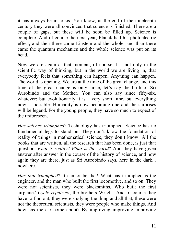it has always be in crisis. You know, at the end of the nineteenth century they were all convinced that science is finished. There are a couple of gaps, but these will be soon be filled up. Science is complete. And of course the next year, Planck had his photoelectric effect, and then there came Einstein and the whole, and than there came the quantum mechanics and the whole science was put on its head.

Now we are again at that moment, of course it is not only in the scientific way of thinking, but in the world we are living in, that everybody feels that something can happen. Anything can happen. The world is opening. We are at the time of the great change, and this time of the great change is only since, let's say the birth of Sri Aurobindo and the Mother. You can also say since fifty-six, whatever; but evolutionarily it is a very short time, but everything now is possible. Humanity is now becoming one and the surprises will be legend. For the young people, they have so much to expect of the unforeseen.

*Has science triumphed*? Technology has triumphed. Science has no fundamental legs to stand on. They don't know the foundation of reality of things in mathematical science, they don't know! All the books that are written, all the research that has been done, is just that question: *what is reality*? *What is the world*? And they have given answer after answer in the course of the history of science, and now again they are there, just as Sri Aurobindo says, here in the dark... nowhere.

*Has that triumphed*? It cannot be that! What has triumphed is the engineer, and the man who built the first locomotive, and so on. They were not scientists, they were blacksmiths. Who built the first airplane? *Cycle repairers*, the brothers Wright. And of course they have to find out, they were studying the thing and all that, these were not the theoretical scientists, they were people who make things. And how has the car come about? By improving improving improving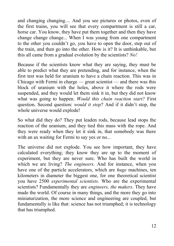and changing changing.... And you see pictures or photos, even of the first trains, you will see that every compartment is still a car, horse car. You know, they have put them together and then they have change change change... When I was young from one compartment to the other you couldn't go, you have to open the door, step out of the train, and then go into the other. How is it? It is unthinkable, but this all came from a gradual evolution by the scientists? *No!*

Because if the scientists know what they are saying, they must be able to predict what they are pretending, and for instance, when the first test was held for uranium to have a chain reaction. This was in Chicago with Fermi in charge — great scientist — and there was this block of uranium with the holes, above it where the rods were suspended, and they would let them sink it in, but they did not know what was going to happen. *Would this chain reaction start?* First question. Second question: *would it stop*? And if it didn't stop, the whole universe would explode!

So what did they do? They put leaden rods, because lead stops the reaction of the uranium, and they tied this mass with the rope. And they were ready when they let it sink in, that somebody was there with an ax waiting for Fermi to say yes or no...

The universe did not explode. You see how important, they have calculated everything; they know they are up to the moment of experiment, but they are never sure. Who has built the world in which we are living? *The engineers*. And for instance, when you have one of the particle accelerators, which are *huge* machines, ten kilometers in diameter the biggest one, for one theoretical scientist you have 2500 *experimental scientists*. Who are the experimental scientists? Fundamentally they are *engineers, the makers*. They have made the world. Of course in many things, and the more they go into miniaturization, the more science and engineering are coupled, but fundamentally is like that: science has not triumphed; it is technology that has triumphed.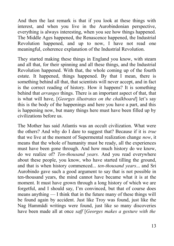And then the last remark is that if you look at these things with interest, and when you live in the Aurobindonian perspective, everything is always interesting, when you see how things happened. The Middle Ages happened, the Renascence happened, the Industrial Revolution happened, and up to now, I have not read one meaningful, coherence explanation of the Industrial Revolution.

They started making these things in England you know, with steam and all that, for their spinning and all these things, and the Industrial Revolution happened. With that, the whole coming up of the fourth estate. It happened, things happened. By that I mean, there is something behind all that, that scientists will never accept, and in fact is the correct reading of history. How it happens? It is something behind that *arranges* things. There is an important aspect of that, that is what will have, [*Georges illustrates on the chalkboard*] let's say this is the body of the happenings and here you have a part, and this is happening now, but many things here must have been filled up by civilizations before us.

The Mother has said Atlantis was an occult civilization. What were the others? And why do I dare to suggest that? Because if it is *true* that we live at the moment of Supermental realization change *now*, it means that the whole of humanity must be ready, all the experiences must have been gone through. And how much history do we know, do we realize of? *Ten-thousand years.* And you read everywhere about these people, you know, who have started tilling the ground, and that is when history commenced... *ten-thousand years*... and Sri Aurobindo gave such a good argument to say that is not possible in ten-thousand years, the mind cannot have became what it is at the moment. It must have grown through a long history of which we are forgetful, and I should say, I'm convinced, but that of course does means anything — I think that in the future many of these things will be found again by accident. Just like Troy was found, just like the Nag Hammâdi writings were found, just like so many discoveries have been made all at once *saff* [*Georges makes a gesture with the*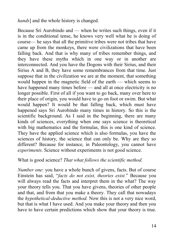*hands*] and the whole history is changed.

Because Sri Aurobindo and — when he writes such things, even if it is in the conditional tense, he knows very well what he is doing of course— he says that all the primitive tribes were not tribes that have came up from the monkeys, there were civilizations that have been falling back. And that is why many of tribes remember things, and they have these myths which in one way or in another are interconnected. And you have the Dogons with their Sirius, and their Sirius A and B, they have some remembrances from that time. Just suppose that in the civilization we are at the moment, that something would happen in the magnetic field of the earth — which seems to have happened many times before — and all at once electricity is no longer possible. First of all if you want to go back, many over here to their place of origin, you would have to go on foot or swim. But what would happen? It would be that falling back, which must have happened says Sri Aurobindo many times in history. So this is the scientific background. As I said in the beginning, there are many kinds of sciences, everything when one says science is theoretical with big mathematics and the formulas, this is one kind of science. They have the applied science which is also formulas, you have the sciences of history, the science that can only be. Why are they so different? Because for instance, in Paleontology, you cannot have *experiments*. Science without experiments is not good science.

#### What is good science? *That what follows the scientific method.*

*Number one*: you have a whole bunch of givens, facts. But of course Einstein has said, "*facts do not exist, theories exist.*" Because you will always read the facts and interpret them in the what? The way your theory tells you. That you have givens, theories of other people and that, and from that you make a theory. They call that nowadays the *hypothetical-deductive method.* Now this is not a very nice word, but that is what I have used. And you make your theory and then you have to have certain predictions which show that your theory is true.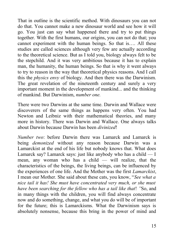That in outline is the scientific method. With dinosaurs you can not do that. You cannot make a new dinosaur world and see how it will go. You just can say what happened there and try to put things together. With the first humans, our origins, you can not do that; you cannot experiment with the human beings. So that is…. All these studies are called sciences although very few are actually according to the theoretical science. But as I told you, biology always felt to be the stepchild. And it was very ambitious because it has to explain man, the humanity, the human beings. So that is why it went always to try to reason in the way that theoretical physics reasons. And I call this the *physics envy* of biology. And then there was the Darwinism. The great revelation of the nineteenth century and surely a very important moment in the development of mankind... and the thinking of mankind. But Darwinism, *number one.*

There were two Darwins at the same time. Darwin and Wallace were discoverers of the same things as happens very often. You had Newton and Leibniz with their mathematical theories, and many more in history. There was Darwin and Wallace. One always talks about Darwin because Darwin has been *divinized*!

*Number two*: before Darwin there was Lamarck and Lamarck is being *demonized* without any reason because Darwin was a Lamarckist at the end of his life but nobody knows that. What does Lamarck say? Lamarck says: just like anybody who has a child  $-1$ mean, any woman who has a child — will realize, that the characteristics of the beings, the living beings, can be influenced by the experiences of one life. And the Mother was the first *Lamarckist*, I mean our Mother. She said about these cats, you know, "*See what a nice tail it has! She must have concentrated very much, or she must have been searching for the fellow who has a tail like that*! *"*So, and in many things with the children, you will find always concentrate now and do something, change, and what you do will be of important for the future; this is Lamarckisms. What the Darwinism says is absolutely nonsense, because this bring in the power of mind and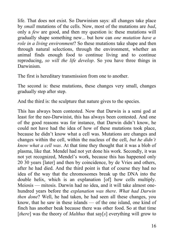life. That does not exist. So Darwinism says: all changes take place by *small* mutations of the cells. Now, most of the mutations are *bad*, only a *few* are good, and then my question is: these mutations will gradually shape something new... but how can *one mutation have a role in a living environment*? So these mutations take shape and then through natural selections, through the environment, whether an animal finds enough food to continue living and to continue reproducing, *so will the life develop*. So you have three things in Darwinism.

The first is hereditary transmission from one to another.

The second is: these mutations, these changes very small, changes gradually step after step.

And the third is: the sculpture that nature gives to the species.

This has always been contested. Now that Darwin is a semi god at least for the neo-Darwinist, this has always been contested. And one of the good reasons was for instance, that Darwin didn't know, he could not have had the idea of how of these mutations took place, because he didn't know what a cell was. Mutations are changes and changes within the cell, within the nucleus of the cell, *but he didn't know what a cell was*. At that time they thought that it was a blob of plasma, like that. Mendel had not yet done his work. Secondly, it was not yet recognized, Mendel's work, because this has happened only 20 30 years [later] and then by coincidence, by de Vries and others, after he had died. And the third point is that of course they had no idea of the way that the chromosomes break up the DNA into the double helix, which is an explanation [of] how cells multiply. Meiosis — mitosis. Darwin had no idea, and it will take almost onehundred years before the *explanation was there*. *What had Darwin then done*? Well, he had taken, he had seen all these changes, you know, that he saw in these islands — of the one island, one kind of finch has another beak because there was other food. So at that time [*there*] was the theory of *Malthus* that say[*s*] everything will grow to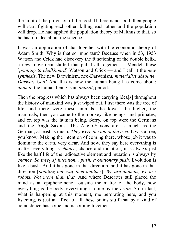the limit of the provision of the food. If there is no food, then people will start fighting each other, killing each other and the population will drop. He had applied the population theory of Malthus to that, so he had no idea about the science.

It was an application of that together with the economic theory of Adam Smith. Why is that so important? Because when in 53, 1953 Watson and Crick had discovery the functioning of the double helix, a new movement started that put it all together — Mendel, these [*pointing to chalkboard*] Watson and Crick — and I call it the *new synthesis*. The new Darwinism, neo-Darwinism, *materialist absolute. Darwin! God!* And this is how the human being has come about: *animal*, the human being is an *animal*, period.

Then the progress which has always been carrying idea[*s*] throughout the history of mankind was just wiped out. First there was the tree of life, and there were these animals, the lower, the higher, the mammals, then you came to the monkey-like beings, and primates, and on top was the human being. Sorry, on top were the Germans and the Anglo-Saxons. The Anglo-Saxons are as much as the German; at least as much. *They were the top of the tree.* It was a tree, you know. Making the intention of coming there, whose job it was to dominate the earth, very clear. And now, they say here everything is matter, everything is *chance*, chance and mutation, it is always just like the half life of the radioactive element and mutation is always by *chance. So tree['s] intention... push, evolutionary push.* Evolution is like a bush. And it has gone in that direction, and it has gone in that direction [*pointing one way then another*]. *We are animals; we are robots. Not more than that.* And where Descartes still placed the mind as an epiphenomenon outside the matter of the body, now everything is the body, everything is done by the *brain*. So, in fact, what is happening at this moment, me perorating here, and you listening, is just an affect of all these brains stuff that by a kind of coincidence has come and is coming together.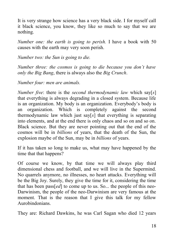It is very strange how science has a very black side. I for myself call it black science, you know, they like so much to say that we are nothing.

*Number one: the earth is going to perish.* I have a book with 50 causes with the earth may very soon perish.

*Number two: the Sun is going to die.*

*Number three: the cosmos is going to die because you don't have only the Big Bang*, there is always also the *Big Crunch*.

*Number four: men are animals.*

*Number five*: there is the *second thermodynamic law* which say[*s*] that everything is always degrading in a closed system. Because life is an organization. My body is an organization. Everybody's body is an organization. Which is completely against the second thermodynamic law which just say[*s*] that everything is separating into elements, and at the end there is only chaos and so on and so on. Black science. But they are never pointing out that the end of the cosmos will be in *billions* of years, that the death of the Sun, the explosion maybe of the Sun, may be in *billions* of years.

If it has taken so long to make us, what may have happened by the time that that happens?

Of course we know, by that time we will always play third dimensional chess and football, and we will live in the Supermind. No quarrels anymore, no illnesses, no heart attacks. Everything will be the Big Joy. Surely, they give the time for it, considering the time that has been pass[*ed*] to come up to us. So... the people of this neo-Darwinism, the people of the neo-Darwinism are very famous at the moment. That is the reason that I give this talk for my fellow Aurobindonians.

They are: Richard Dawkins, he was Carl Sagan who died 12 years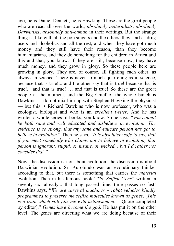ago, he is Daniel Dennett, he is Hawking. These are the great people who are read all over the world, *absolutely materialists*, *absolutely Darwinists*, *absolutely anti-human* in their writings. But the strange thing is, like with all the pop singers and the others, they start as drug users and alcoholics and all the rest, and when they have got much money and they still have their reason, than they become humanitarians, and they do something for the children in Africa and this and that, you know. If they are still, because now, they have much money, and they grow in glory. So these people here are growing in glory. They are, of course, all fighting each other, as always in science. There is never so much quarreling as in science, because that is true!... and the other say that is true! because that is true!... and that is true! … and that is true! So these are the great people at the moment, and the Big Chief of the whole bunch is Dawkins — do not mix him up with Stephen Hawking the physicist — but this is Richard Dawkins who is now professor, who was a zoologist, biologist and who is an *excellent writer*. And he has written a whole series of books, you know. So he says, "*you cannot be both sane and well educated and disbelieve in evolution. The evidence is so strong, that any sane and educate person has got to believe in evolution.*" Then he says, "*It is absolutely safe to say, that if you meet somebody who claims not to believe in evolution, that person is ignorant, stupid, or insane, or wicked... but I'd rather not consider that."*

Now, the discussion is not about evolution, the discussion is about Darwinian evolution. Sri Aurobindo was an evolutionary thinker according to that, but there is something that carries the *material* evolution. Then in his famous book "*The Selfish Gene*" written in seventy-six, already... that long passed time, time passes so fast! Dawkins says, "*We are survival machines – robot vehicles blindly programmed to preserve the selfish molecules known as genes*. [*This is a truth which still fills me with astonishment. –* Quote completed by editor]." *Genes have become the god.* He has put it on the other level. The genes are directing what we are doing because of their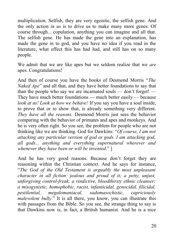multiplication. Selfish, they are very egoistic, the selfish gene. And the only action *in us* is to drive us to make many more genes. Of course through... copulation, anything you can imagine and all that. The selfish gene. He has made the gene into an explanation, has made the gene in to god, and you have no idea if you read in the literature, what effect this has had had, and still has on so many people.

We admit that we are like apes but we seldom realize that we *are* apes. Congratulations!

And then of course you have the books of Desmond Morris "*The Naked Ape*" and all that, and they have better foundations to say that than the people who say we are incarnated souls — don't forget! — They have much better foundations — much better easily — because *look at us! Look at how we behave!* If you say you have a soul inside, to prove that or to show that, is already something very different. *They have all the reasons.* Desmond Morris just sees the behavior comparing with the behavior of primates and apes and monkeys. And he is very often right. So you see, the problem for people who are not thinking like we are thinking. God for Dawkins: "*Of course, I am not attacking any particular version of god or gods. I am attacking god, all gods... anything and everything supernatural wherever and whenever they have been or will be invented*." ]

And he has very good reasons. Because don't forget they are reasoning within the Christian context. And he says for instance, "*The God of the Old Testament is arguably the most unpleasant character in all fiction: jealous and proud of it; a petty, unjust, unforgiving control-freak; a vindictive, bloodthirsty ethnic cleanser; a misogynistic, homophobic, racist, infanticidal, genocidal, filicidal, pestilential, megalomaniacal, sadomasochistic, capriciously malevolent bully*." It is all there, you know, you can illustrate this with passages from the Bible. So you see, the strange thing to say is that Dawkins now is, in fact, a British humanist. And he is a nice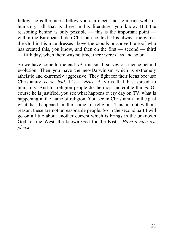fellow, he is the nicest fellow you can meet, and he means well for humanity, all that is there in his literature, you know. But the reasoning behind is only possible — this is the important point within the European Judeo-Christian context. It is always the game: the God in his nice dresses above the clouds or above the roof who has created this, you know, and then on the first — second — third — fifth day, when there was no time, there were days and so on.

So we have come to the end [*of*] this small survey of science behind evolution. Then you have the neo-Darwinism which is extremely atheistic and extremely aggressive. They fight for their ideas because Christianity *is so bad*. It's a *virus*. A virus that has spread to humanity. And for religion people do the most incredible things. Of course he is justified, you see what happens every day on TV, what is happening in the name of religion. You see in Christianity in the past what has happened in the name of religion. This in not without reason, these are not unreasonable people. So in the second part I will go on a little about another current which is brings in the unknown God for the West, the known God for the East... *Have a nice tea please*!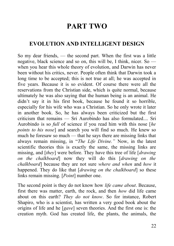## **PART TWO**

## <span id="page-25-0"></span>**EVOLUTION AND INTELLIGENT DESIGN**

So my dear friends, — the second part. When the first was a little negative, black science and so on, this will be, I think, nicer. So when you hear this whole theory of evolution, and Darwin has never been without his critics, never. People often think that Darwin took a long time to be accepted; this is not true at all; he was accepted in five years. Because it is so evident. Of course there were all the reservations from the Christian side, which is quite normal, because ultimately he was also saying that the human being is an animal. He didn't say it in his first book, because he found it so horrible, especially for his wife who was a Christian. So he only wrote it later in another book. So, he has always been criticized but the first criticism that remains  $-$  Sri Aurobindo has also formulated... Sri Aurobindo is so *full* of science if you read him with this nose [*he points to his nose*] and search you will find so much. He knew so much he foresaw so much — that he says there are missing links that always remain missing, in "*The Life Divine."* Now, in the latest scientific theories this is exactly the same, the missing links are missing, and [*they*] were before. They have this tree of life [*drawing on the chalkboard*] now they will do this [*drawing on the chalkboard*] because they are not sure *where and when* and *how* it happened. They do like that [*drawing on the chalkboard*] so these links remain missing. [*Point*] number one.

The second point is they do not know how *life came about*. Because, first there was matter, earth, the rock, and then *how* did life came about on this earth? *They do not know*. So for instance, Robert Shapiro, who is a scientist, has written a very good book about the origins of life and he [*gave*] seven theories. And the first one is: the creation myth. God has created life, the plants, the animals, the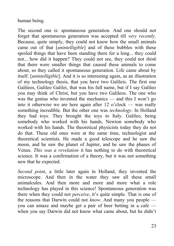human being.

The second one is: spontaneous generation. And one should not forget that spontaneous generation was accepted till *very recently*. Because, quite simply, they could not know how the small animals came out of that [*unintelligible*] and of these bubbles with these spoiled things that have been standing there for a long... they could not... how did it happen? They could not see, they could not *think* that there were smaller things that caused these animals to come about, so they called it spontaneous generation. Life came about by itself. [*unintelligible*]. And it is so interesting again, as an illustration of my technology thesis, that you have two Galileis. The first one Galileos, Galileo Galilei, that was his full name, but if I say Galileo you may think of Christ, but you have two Galileos. The one who was the genius who invented the mechanics — and this I won't go into it otherwise we are here again after 12 o'clock — was really something incredible. But the other one was *technology*. In Holland they had toys. They brought the toys to Italy. Galileo, being somebody who worked with his hands, Newton somebody who worked with his hands. The theoretical physicists today they do not do that. These old ones were at the same time, technologist and theoretical scientists. He made a good telescope and he saw the moon, and he saw the planet of Jupiter, and he saw the phases of Venus. *This was a revelation* it has nothing to do with theoretical science. It was a confirmation of a theory, but it was not something new that he expected.

*Second point*, a little later again in Holland, they invented the microscope. And then in the water they saw all these small animalcules. And then more and more and more what a role technology has played in this science! Spontaneous generation was there when they could not *perceive*, it's quite simple. That is one of the reasons that Darwin could not *know*. And many you people you can amaze and maybe get a pair of beer betting in a cafe when you say Darwin did not know what came about, but he didn't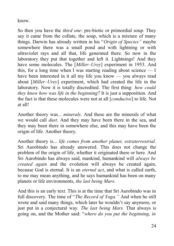know.

So then you have the *third one*: pre-biotic or primordial soup. They say it came from the collate, the soup, which is a mixture of many things. Darwin has already written in his "*Origin of Species"* maybe somewhere there was a small pond and with lightning or with ultraviolet rays and all that, life generated there. So now in the laboratory they put that together and left it. Lightnings! And they have some molecules. The [*Miller–Urey*] experiment in 1953. And this, for a long time when I was starting reading about science — I have been interested in it all my life you know — you always read about [*Miller–Urey*] experiment, which had created the life in the laboratory. Now it is totally discredited. The first thing: *how could they know how was life in the beginning*? It is just a supposition. And the fact is that these molecules were not at all [*conducive*] to life. Not at all!

Another theory was... *minerals*. And these are the minerals of what we would call *dust*. And they may have been there in the sea, and they may been there in somewhere else, and this may have been the origin of life. Another theory.

Another theory is... *life comes from another planet, extraterrestrial*. Sri Aurobindo has already answered. This does not change the problem of the origin of life, whether it originated there or here. And Sri Aurobindo has always said, mankind, humankind will *always be created again* and the evolution will always be created again, because God is eternal. It is an *eternal act*, and what is called earth, to me may mean anything, and he says humankind has been on many planets or life environments, *the last being Mars*.

And this is an early text. This is at the time that Sri Aurobindo was in full discovery. The time of "*The Record of Yoga."* And when he still wrote and said many things, which later he wouldn't say anymore, or just put in a conjectural way. *The last being Mars.* That always is going on, and the Mother said: "*where do you put the beginning, in*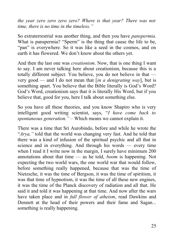*the year zero zero zero zero? Where is that year? There was not time, there is no time in the timeless."* 

So extraterrestrial was another thing, and then you have *panspermia*. What is panspermia? "Sperm" is the thing that cause the life to be, "pan" is everywhere. So it was like a seed in the cosmos, and on earth it has flowered. We don't know about the others yet.

And then the last one was *creationism*. Now, that is one thing I want to say. I am never talking here about creationism, because this is a totally different subject. You believe, you do not believe in that very good — and I do not mean that [*in a denigrating way*], but is something apart. You believe that the Bible literally is God's Word? God's Word, creationism says that it is literally His Word, but if you believe that, good for you, here I talk about something else.

So you have all these theories, and you know Shapiro who is very intelligent good writing scientist, says, "*I have come back to spontaneous generation." –* Which means we cannot explain it.

There was a time that Sri Aurobindo, before and while he wrote the "*Arya,"* told that the world was changing very fast. And he told that there was a kind of infusion of the spiritual psychic and all that in science and in everything. And through his words — every time when I read it I write now in the margin, I surely have minimum 200 annotations about that time — as he told, *boom* is happening. Not expecting the two world wars, the one world war that would follow, before something really happened, because that was the time of Nietzsche, it was the time of Bergson, it was the time of spiritism, it was that time of hypnotism, it was the time of all these new engines, it was the time of the Planck discovery of radiation and all that. He said it and told it was happening at that time. And now after the wars have taken place and in *full flower of atheism*, read Dawkins and Dennett at the head of their powers and their fame and Sagan... something is really happening.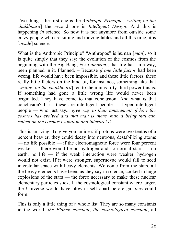Two things: the first one is the *Anthropic Principle*, [*writing on the chalkboard*] the second one is *Intelligent Design*. And this is happening *in* science. So now it is not anymore from outside some crazy people who are sitting and moving tables and all this time, it is [*inside*] science.

What is the Anthropic Principle? "Anthropos" is human [*man*], so it is quite simply that they say: the evolution of the cosmos from the beginning with the Big Bang, *is so amazing*, that life has, in a way, been planned in it. Planned. *–* Because *if one little factor* had been wrong, life would have been impossible, and these little factors, these really little factors on the kind of, for instance, something like that [*writing on the chalkboard*] ten to the minus fifty-third power this is. If something had gone a little wrong life would never been originated. They have come to that conclusion. And what is that conclusion? It is, these are intelligent people — hyper intelligent people — who just say... *give way to their amazement of how the cosmos has evolved and that man is there, man a being that can reflect on the cosmos evolution and interpret it.*

This is amazing. To give you an idea: if protons were two tenths of a percent heavier, they could decay into neutrons, destabilizing atoms — no life possible — if the electromagnetic force were four percent weaker — there would be no hydrogen and no normal stars — no earth, no life — if the weak interaction were weaker, hydrogen would not exist. If it were stronger, supernovae would fail to seed interstellar space with heavy elements. We come from the stars, all the heavy elements have been, as they say in science, cooked in huge explosions of the stars — the force necessary to make these nuclear elementary particles stick. If the cosmological constant where larger, the Universe would have blown itself apart before galaxies could form.

This is only a little thing of a whole list. They are so many constants in the world, *the Planck constant*, *the cosmological constant*, all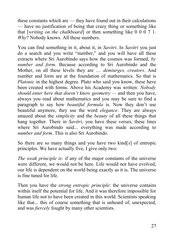these constants which are — they have found out in their calculations — have no justification of being that crazy thing or something like that [*writing on the chalkboard*] or then something like 0 0 0 7 1. *Why*? Nobody knows. All these numbers.

You can find something in it, about it, in *Savitri*. In *Savitri* you just do a search and you write "number," and you will have all these extracts where Sri Aurobindo says how the cosmos was formed, *by number and form*. Because according to Sri Aurobindo and the Mother, on all these levels they are … *demiurges, creators*. And number and form are at the foundation of mathematics. So that is *Platonic* in the highest degree. Plato who said you know, these have been created with forms. Above his Academy was written: *Nobody should enter here that doesn't know geometry —* and then you have, always you read about mathematics and you may be sure to find a paragraph to say how *beautiful formula* is. Now they don't use beautiful anymore, they use the word *elegance*. They are always amazed about the *simplicity* and the *beauty* of all these things that hang together. There in *Savitri*, you have these verses, these lines where Sri Aurobindo said... everything was made according to *number and form*. This is also Sri Aurobindo.

So there are so many things and you have two kind[*s*] of entropic principles. We have actually five, I give only two:

*The weak principle is*: if any of the major constants of the universe were different, we would not be here. Life would not have evolved, our life is dependent on the world being exactly as it is. The universe is fine tuned for life.

Then you have the *strong entropic principle*: the universe contains within itself the potential for life. And it was therefore impossible for human life not to have been created in this world. Scientists speaking like that... this of course something that is unheard of, unexpected, and was *fiercely* fought by many other scientists.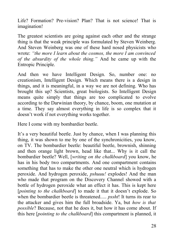Life? Formation? Pre-vision? Plan? That is not science! That is imagination!

The greatest scientists are going against each other and the strange thing is that the weak principle was formulated by Steven Weinberg. And Steven Weinberg was one of these hard nosed physicists who wrote: *"the more I learn about the cosmos, the more I am convinced of the absurdity of the whole thing."* And he came up with the Entropic Principle.

And then we have Intelligent Design. So, number one: no creationism, Intelligent Design. Which means there is a design in things, and it is meaningful, in a way we are not defining. Who has brought this up? Scientists, great biologists. So Intelligent Design means quite simply that things are too complicated to evolve according to the Darwinian theory, by chance, boom, one mutation at a time. They say almost everything in life is so complex that it doesn't work if not everything works together.

Here I come with my bombardier beetle.

It's a very beautiful beetle. Just by chance, when I was planning this thing, it was shown to me by one of the synchronicities, you know, on TV. The bombardier beetle: beautiful beetle, brownish, shinning and then orange light brown, head like that... Why is it call the bombardier beetle? Well, [*writing on the chalkboard*] you know, he has in his body two compartments. And one compartment contains something that has to make the other one neutral which is hydrogen peroxide. And hydrogen peroxide, *pshuuu!* explodes! And the man who made that program on the Discovery Channel showed with a bottle of hydrogen peroxide what an effect it has. This is kept here [*pointing to the chalkboard*] to made it that it doesn't explode. So when the bombardier beetle is threatened..... *pssht*! It turns its rear to the attacker and gives him the full broadside. Ya, but *how is that possible*? Because, not that he does it, but how it has come about. If this here [*pointing to the chalkboard*] this compartment is planned, it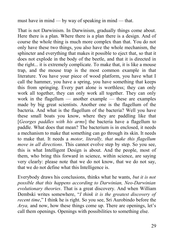must have in mind — by way of speaking in mind — that.

That is not Darwinism. In Darwinism, gradually things come about. Here there is a plan. Where there is a plan there is a design. And of course the whole thing is much more complex than that. You do not only have these two things, you also have the whole mechanism, the sphincter and everything that makes it possible to eject that, so that it does not explode in the body of the beetle, and that it is directed in the right... it is extremely complicate. To make that, it is like a mouse trap, and the mouse trap is the most common example in that literature. You have your piece of wood platform, you have what I call the hammer, you have a spring, you have something that keeps this from springing. Every part alone is worthless; they can only work all together, they can only work all together. They can only work in the flagellum — another example — these are examples made by big great scientists. Another one is the flagellum of the bacteria. And what is the flagellum of the bacteria? Well you have these small boats you know, where they are paddling like that [*Georges paddles with his arms*] the bacteria have a flagellum to paddle. What does that mean? The bacterium is in enclosed, it needs a mechanism to make that something can go through its skin. It needs to make that. It needs a *motor, literally, that make this flagellum move in all directions*. This cannot evolve step by step. So you see, this is what Intelligent Design is about. And the people, most of them, who bring this forward in science, within science, are saying very clearly: please note that we do not know, that we do not say, that we do not define what this Intelligence is.

Everybody draws his conclusions, thinks what he wants, *but it is not possible that this happens according to Darwinian, Neo-Darwinian evolutionary theories*. That is a great discovery. And when William Dembski writes somewhere, "*I think it is the greatest discovery of recent time*," I think he is right. So you see, Sri Aurobindo before the *Arya,* and now, how these things come up. There are openings, let's call them openings. Openings with possibilities to something else.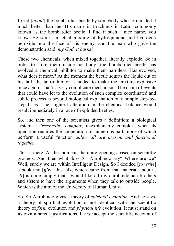I read [*about*] the bombardier beetle by somebody who formulated it much better than me. His name is Brachinus in Latin, commonly known as the bombardier beetle. I find it such a nice name, you know. He squirts a lethal mixture of hydroquinone and hydrogen peroxide into the face of his enemy, and the man who gave the demonstration said: *my God, it burns*!

These two chemicals, when mixed together, literally explode. So in order to store them inside his body, the bombardier beetle has evolved a chemical inhibitor to make them harmless. Has evolved, what does it mean? At the moment the beetle squirts the liquid out of his tail, the anti-inhibitor is added to make the mixture explosive once again. That's a very complicate mechanism. The chain of events that could have let to the evolution of such complex coordinated and subtle process is beyond biological explanation on a simple step-bystep basis. The slightest alteration in the chemical balance would result immediately in a race of exploded beetles.

So, and then one of the scientists gives a definition: a biological system is *irreducibly complex*, unexplainably complex, when its operation requires the cooperation of numerous parts none of which perform a useful function *unless all are present and functional together*.

This is there. At the moment, there are openings based on scientific grounds. And then what does Sri Aurobindo say? Where are we? Well, surely we are within Intelligent Design. So I decided [*to write*] a book and [*give*] this talk, which came from that material about it. [*It*] is quite simply that I would like all my aurobindonian brothers and sisters to have the arguments when they talk to outside people. Which is the aim of the University of Human Unity.

So, Sri Aurobindo gives a theory of *spiritual evolution*. And he says, a theory of spiritual evolution is not identical with the scientific theory of *form* evolution and *physical life* evolution. It must stand on its own inherent justifications. It *may* accept the scientific account of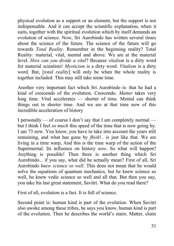physical evolution as a support or an element, but the support is not indispensable. And it can accept the scientific explanation, when it suits, together with the spiritual evolution which by itself demands an evolution of science. Now, Sri Aurobindo has written several times about the science of the future. The science of the future will go towards *Total Reality*. Remember in the beginning reality? Total Reality: material, vital, mental and above. We are at the material level. *How can you divide a vital*? Because *vitalism* is a dirty word for material scientists! *Mysticism* is a dirty word. *Vitalism* is a dirty word. But, [*total reality*] will only be when the whole reality is together included. This may still take some time.

Another very important fact which Sri Aurobindo is: that he had a kind of crescendo of the evolution. Crescendo. *Matter* takes very long time. Vital accelerates — shorter of time. Mental can think things out in shorter time. And we are at that time now of this incredible acceleration of history

I personally — of course I don't say that I am completely normal but I think I feel *so much* this speed of the time that is now going by. I am 73 now. You know, you have to take into account the years still remaining, and what has gone by *fhish*!.. is just like that. We are living in a time warp, And this is the time warp of the action of the Supermental. Its influence on history *now*. So what will happen? Anything is possible! Then there is another thing which Sri Aurobindo... if you say, what did he actually mean? First of all, Sri Aurobindo *knew science so well*. This does not mean that he would solve the equations of quantum mechanics, but he knew science so well, he knew vedic science so well and all that. But then you say, you take his last great statement, Savitri. What do you read there?

First of all, evolution is a fact. It is full of science.

Second point is: human kind is part of the evolution. When Savitri also awoke among these tribes, he says you know, human kind is part of the evolution. Then he describes the world's stairs. Matter, chain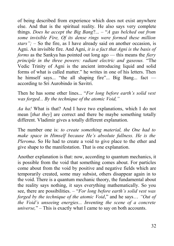of being described from experience which does not exist anywhere else. And that is the spiritual reality. He also says very complete things. *Does he accept the Big Bang*?... *–* "*A gas belched out from some invisible Fire, Of its dense rings were formed these million stars"; –* So the fire, as I have already said on another occasion, is Agni. An invisible fire. And Agni, *it is a fact that Agni is the basis of forms* as the Sankya has pointed out long ago — this means the *fiery principle in the three powers: radiant electric and gaseous.* "The Vedic Trinity of Agni is the ancient introducing liquid and solid forms of what is called matter." he writes in one of his letters. Then he himself says... "the all shaping fire"... Big Bang... fact according to Sri Aurobindo in Savitri.

Then he has some other lines... "*For long before earth's solid vest was forged... By the technique of the atomic Void,"*

*Aa ha!* What is that? And I have two explanations, which I do not mean [*that they*] are correct and there be maybe something totally different. Vladimir gives a totally different explanation.

The number one is: *to create something material, the One had to make space in Himself because He's absolute fullness. He is the Pleroma*. So He had to create a void to give place to the ether and give shape to the manifestation. That is one explanation.

Another explanation is that: now, according to quantum mechanics, it is possible from the void that something comes about. For particles come about from the void by positive and negative fields which are temporarily created, some may subsist, others disappear again in to the void. There is a quantum mechanic theory, the fundamental about the reality says nothing, it says everything mathematically. So you see, there are possibilities. *–* "*For long before earth's solid vest was forged by the technique of the atomic Void*," and he says… *"Out of the Void's unseeing energies... Inventing the scene of a concrete universe,*" *–* This is exactly what I came to say on both accounts.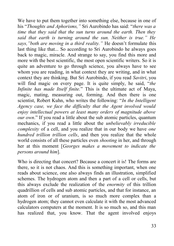We have to put them together into something else, because in one of his "*Thoughts and Aphorisms,"* Sri Aurobindo has said: "*there was a time that they said that the sun turns around the earth. Then they said that earth is turning around the sun. Neither is true." He says,"both are moving in a third reality."* He doesn't formulate this last thing like that... So according to Sri Aurobindo he always goes back to magic, miracle. And strange to say, you find this more and more with the best scientific, the most open scientific writers. So it is quite an adventure to go through science, you always have to see whom you are reading, in what context they are writing, and in what context they are thinking. But Sri Aurobindo, if you read *Savitri*, you will find magic on every page. It is quite simply, he said, "*the Infinite has made Itself finite.*" This is the ultimate act of Maya, magic, mating, measuring out, forming. And then there is one scientist, Robert Kuhn, who writes the following: "*In the Intelligent Agency case, we face the difficulty that the Agent involved would enjoy intellectual powers at least many orders of magnitude above our own*." If you read a little about the sub atomic particles, quantum mechanics, if you read a little about the *unbelievably irreducible complexity* of a cell, and you realize that in our body we have *one hundred trillion trillion cells*, and then you realize that the whole world consists of all these particles even *shooting* in her, and through her at this moment [*Georges makes a movement to indicate the persons around him*].

Who is directing that concert? Because a concert it is! The forms are there, so it is not chaos. And this is something important, when one reads about science, one also always finds an illustration, simplified schemes. The hydrogen atom and then a part of a cell or cells, but this always exclude the realization of the *enormity* of this trillion quadrillion of cells and sub atomic particles, and that for instance, an atom of iron or of uranium, is so much more complex than a hydrogen atom; they cannot even calculate it with the most advanced calculators computers at the moment. It is so much so, and this man has realized that, you know. That the agent involved enjoys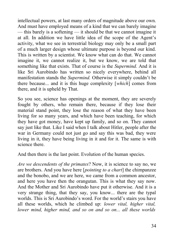intellectual powers, at last many orders of magnitude above our own. And must have employed means of a kind that we can barely imagine — this barely is a softening — it should be that we cannot imagine it at all. In addition we have little idea of the scope of the Agent's activity, what we see in terrestrial biology may only be a small part of a much larger design whose ultimate purpose is beyond our kind. This is written by a scientist. We know what can do that. We cannot imagine it, we cannot realize it, but we know, we are told that something like that exists. That of course is the *Supermind.* And it is like Sri Aurobindo has written so nicely everywhere, behind all manifestation stands the *Supermind.* Otherwise it simply couldn't be there because... and it is this huge complexity [*which*] comes from there, and it is upheld by That.

So you see, science has openings at the moment, they are severely fought by others, who remain there, because if they lose their material stand point, they lose the reason of what they have been living for so many years, and which have been teaching, for which they have got money, have kept up family, and so on. They cannot say just like that. Like I said when I talk about Hitler, people after the war in Germany could not just go and say this was bad, they were living in it, they have being living in it and for it. The same is with science there.

And then there is the last point. Evolution of the human species.

*Are we descendents of the primates*? Now, it is science to say no, we are brothers. And you have here [*pointing to a chart*] the chimpanzee and the bonobo, and we are here, we came from a common ancestor, and here you have then the orangutan. This is what they say now. And the Mother and Sri Aurobindo have put it otherwise. And it is a very strange thing, that they say, you know... there are the typal worlds. This is Sri Aurobindo's word. For the world's stairs you have all these worlds, which he climbed up: *lower vital, higher vital, lower mind, higher mind, and so on and so on... all these worlds*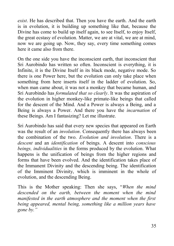*exist*. He has described that. Then you have the earth. And the earth is in evolution, it is building up something like that, because the Divine has come to build up itself again, to see Itself, to enjoy Itself. the great ecstasy of evolution. Matter, we are at vital, we are at mind, now we are going up. Now, they say, every time something comes here it came also from there.

On the one side you have the inconscient earth, that inconscient that Sri Aurobindo has written so often. Inconscient is everything, it is Infinite, it is the Divine Itself in its black mode, negative mode. So there is one Power here, but the evolution can only take place when something from here inserts itself in the ladder of evolution. So, when man came about, it was not a monkey that became human, and Sri Aurobindo has *formulated that so clearly*. It was the aspiration of the evolution in higher monkey-like primate-like beings that called for the descent of the Mind. And a Power is always a Being, and a Being is always a Power. And there you have the *incarnation* of these Beings. Am I fantasizing? Let me illustrate.

Sri Aurobindo has said that every new species that appeared on Earth was the result of an *involution*. Consequently there has always been the combination of the two. *Evolution and involution*. There is a *descent* and an *identification* of beings. A descent into *conscious beings, individualities* in the forms produced by the evolution. What happens is the unification of beings from the higher regions and forms that have been evolved. And the identification takes place of the Immanent Divinity and the descending being. The identification of the Imminent Divinity, which is imminent in the whole of evolution, and the descending Being.

This is the Mother speaking: Then she says, "*When the mind descended on the earth, between the moment when the mind manifested in the earth atmosphere and the moment when the first being appeared, mental being, something like a million years have gone by."*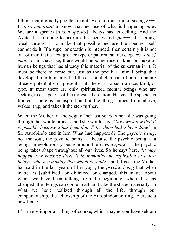I think that normally people are not aware of this kind of seeing *here*. It is *so important* to know that because of what is happening *now*. We are a species [*and a species*] always has its ceiling. And the Avatar has to come to take up the species and [*pierce*] the ceiling, break through it to make that possible because the species itself cannot do it. If a superior creation is intended, then certainly it is not out of man that a new greater type or pattern can develop. *Not out of man*, for in that case, there would be some race or kind or make of human beings that has already this material of the superman in it. It must be there to come out, just as the peculiar animal being that developed into humanity had the essential elements of human nature already potentially or present in it; there is no such a race, kind, or type, at most there are only spiritualized mental beings who are seeking to escape out of the terrestrial creation. He says the species is limited. There is an aspiration but the thing comes from above, wakes it up, and takes it the step further.

When the Mother, in the yoga of her last years, when she was going through that whole process, and she would say, "*Now we know that it is possible because it has been done*." *In whom had it been done?* In Sri Aurobindo and in her. What had happened? The *psychic being*, not the soul, the psychic being — because the psychic being is a being, an evolutionary being around the *Divine spark* — the psychic being takes shape throughout all our lives. So he says here, "*it may happen now because there is in humanity the aspiration in a few beings, who are making that which is ready*," and it is as the Mother has said in the last years of her yoga, the *psychic being* that when matter is [subtilized] or divinized or changed, this matter about which we have been talking from the beginning, when this has changed, the Beings can come in all, and take the shape materially, in what we have realized through all the life, through our companionship, the fellowship of the Aurobindonian ring, to create a new being.

It's a very important thing of course, which maybe you have seldom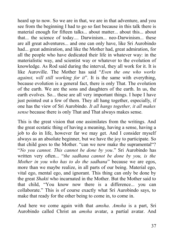heard up to now. So we are in that, we are in that adventure, and you see from the beginning I had to go so fast because in this talk there is material enough for fifteen talks... about matter... about this... about that... the science of today.... Darwinism... neo-Darwinism... these are all great adventures... and one can only have, like Sri Aurobindo had... great admiration, and like the Mother had, great admiration, for all the people who have dedicated their life in whatever way: in the materialistic way, and scientist way or whatever to the evolution of knowledge. As Rod said during the interval, they all work for it. It is like Auroville. The Mother has said "*Even the one who works against, will still working for it*". It is the same with everything, because evolution is a general fact, there is only That. The evolution of the earth. We are the sons and daughters of the earth. In us, the earth evolves. So... these are all very important things. I hope I have just pointed out a few of them. They all hang together, especially, if one has the view of Sri Aurobindo. *It all hangs together, it all makes sense* because there is only That and That always makes sense.

This is the great vision that one assimilates from the writings. And the great ecstatic thing of having a meaning, having a sense, having a job to do in life, however far we may get. And I consider myself always as an absolute beginner, but we have the joy to participate. So that child goes to the Mother. "can we now make the supramental"? "*No you cannot. This cannot be done by you*." Sri Aurobindo has written very often... "*the sadhana cannot be done by you, is the Mother in you who has to do the sadhana*" because we are egos, more than we maybe realize, in all parts of our being. Material ego, vital ego, mental ego, and ignorant. This thing can only be done by the great *Shakti* who incarnated in the Mother. But the Mother said to that child, "You know now there is a difference... you can collaborate." This is of course exactly what Sri Aurobindo says, to make that ready for the other being to come in, to come in.

And here we come again with that *amsha*. *Amsha* is a part, Sri Aurobindo called Christ an *amsha* avatar, a partial avatar. And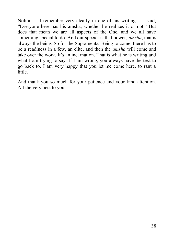Nolini — I remember very clearly in one of his writings — said, "Everyone here has his amsha, whether he realizes it or not." But does that mean we are all aspects of the One, and we all have something special to do. And our special is that power, *amsha*, that is always the being. So for the Supramental Being to come, there has to be a readiness in a few, an elite, and then the *amsha* will come and take over the work. It's an incarnation. That is what he is writing and what I am trying to say. If I am wrong, you always have the text to go back to. I am very happy that you let me come here, to rant a little.

And thank you so much for your patience and your kind attention. All the very best to you.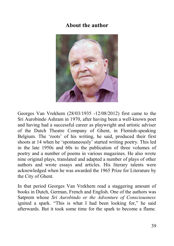### <span id="page-42-0"></span>**About the author**



Georges Van Vrekhem (28/03/1935 -12/08/2012) first came to the Sri Aurobindo Ashram in 1970, after having been a well-known poet and having had a successful career as playwright and artistic adviser of the Dutch Theatre Company of Ghent, in Flemish-speaking Belgium. The 'roots' of his writing, he said, produced their first shoots at 14 when he 'spontaneously' started writing poetry. This led in the late 1950s and 60s to the publication of three volumes of poetry and a number of poems in various magazines. He also wrote nine original plays, translated and adapted a number of plays of other authors and wrote essays and articles. His literary talents were acknowledged when he was awarded the 1965 Prize for Literature by the City of Ghent.

In that period Georges Van Vrekhem read a staggering amount of books in Dutch, German, French and English. One of the authors was Satprem whose *Sri Aurobindo or the Adventure of Consciousness* ignited a spark. "This is what I had been looking for," he said afterwards. But it took some time for the spark to become a flame.